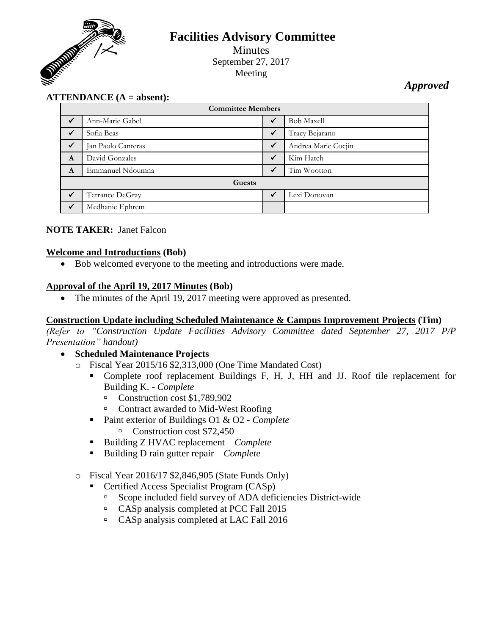

# **Facilities Advisory Committee**

Minutes September 27, 2017 Meeting

*Approved*

# **ATTENDANCE (A = absent):**

| <b>Committee Members</b> |                    |              |                     |
|--------------------------|--------------------|--------------|---------------------|
| $\checkmark$             | Ann-Marie Gabel    | ✓            | <b>Bob Maxell</b>   |
| $\checkmark$             | Sofia Beas         | ✓            | Tracy Bejarano      |
|                          | Jan Paolo Canteras | $\checkmark$ | Andrea Marie Cocjin |
| $\mathbf{A}$             | David Gonzales     | ✓            | Kim Hatch           |
| A                        | Emmanuel Ndoumna   | ✓            | Tim Wootton         |
| <b>Guests</b>            |                    |              |                     |
|                          | Terrance DeGray    |              | Lexi Donovan        |
| $\checkmark$             | Medhanie Ephrem    |              |                     |

#### **NOTE TAKER:** Janet Falcon

#### **Welcome and Introductions (Bob)**

Bob welcomed everyone to the meeting and introductions were made.

#### **Approval of the April 19, 2017 Minutes (Bob)**

• The minutes of the April 19, 2017 meeting were approved as presented.

#### **Construction Update including Scheduled Maintenance & Campus Improvement Projects (Tim)**

*(Refer to "Construction Update Facilities Advisory Committee dated September 27, 2017 P/P Presentation" handout)*

- **Scheduled Maintenance Projects**
	- o Fiscal Year 2015/16 \$2,313,000 (One Time Mandated Cost)
		- Complete roof replacement Buildings F, H, J, HH and JJ. Roof tile replacement for Building K. - *Complete*
			- Construction cost  $$1,789,902$
			- □ Contract awarded to Mid-West Roofing
		- Paint exterior of Buildings O1 & O2 *Complete* Construction cost \$72,450
		- Building Z HVAC replacement *Complete*
		- Building D rain gutter repair *Complete*
	- o Fiscal Year 2016/17 \$2,846,905 (State Funds Only)
		- Certified Access Specialist Program (CASp)
			- □ Scope included field survey of ADA deficiencies District-wide
			- <sup>n</sup> CASp analysis completed at PCC Fall 2015
			- CASp analysis completed at LAC Fall 2016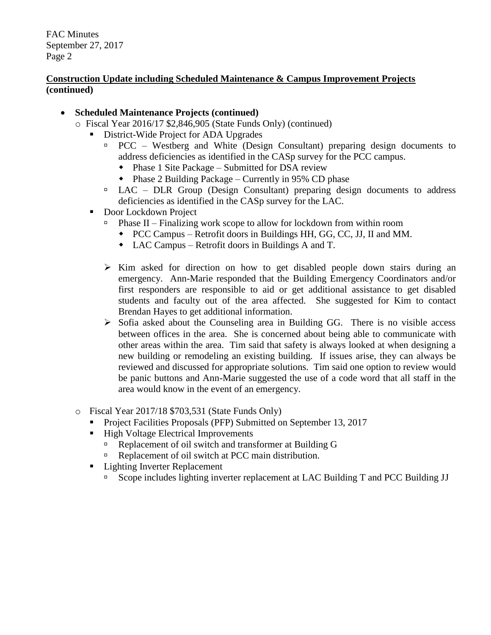#### **Construction Update including Scheduled Maintenance & Campus Improvement Projects (continued)**

- **Scheduled Maintenance Projects (continued)**
	- o Fiscal Year 2016/17 \$2,846,905 (State Funds Only) (continued)
		- District-Wide Project for ADA Upgrades
			- $PCC Westberg$  and White (Design Consultant) preparing design documents to address deficiencies as identified in the CASp survey for the PCC campus.
				- Phase 1 Site Package Submitted for DSA review
				- Phase 2 Building Package Currently in 95% CD phase
			- $\Box$  LAC DLR Group (Design Consultant) preparing design documents to address deficiencies as identified in the CASp survey for the LAC.
		- Door Lockdown Project
			- $\Box$  Phase II Finalizing work scope to allow for lockdown from within room
				- PCC Campus Retrofit doors in Buildings HH, GG, CC, JJ, II and MM.
				- LAC Campus Retrofit doors in Buildings A and T.
			- $\triangleright$  Kim asked for direction on how to get disabled people down stairs during an emergency. Ann-Marie responded that the Building Emergency Coordinators and/or first responders are responsible to aid or get additional assistance to get disabled students and faculty out of the area affected. She suggested for Kim to contact Brendan Hayes to get additional information.
			- $\triangleright$  Sofia asked about the Counseling area in Building GG. There is no visible access between offices in the area. She is concerned about being able to communicate with other areas within the area. Tim said that safety is always looked at when designing a new building or remodeling an existing building. If issues arise, they can always be reviewed and discussed for appropriate solutions. Tim said one option to review would be panic buttons and Ann-Marie suggested the use of a code word that all staff in the area would know in the event of an emergency.
	- o Fiscal Year 2017/18 \$703,531 (State Funds Only)
		- Project Facilities Proposals (PFP) Submitted on September 13, 2017
		- High Voltage Electrical Improvements
			- Replacement of oil switch and transformer at Building G
			- Replacement of oil switch at PCC main distribution.
		- Lighting Inverter Replacement
			- Scope includes lighting inverter replacement at LAC Building T and PCC Building JJ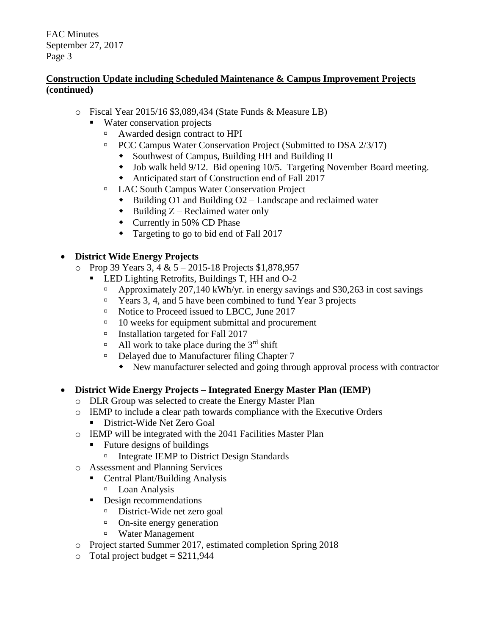## **Construction Update including Scheduled Maintenance & Campus Improvement Projects (continued)**

- o Fiscal Year 2015/16 \$3,089,434 (State Funds & Measure LB)
	- Water conservation projects
		- Awarded design contract to HPI
		- **PCC Campus Water Conservation Project (Submitted to DSA 2/3/17)** 
			- Southwest of Campus, Building HH and Building II
			- Job walk held 9/12. Bid opening 10/5. Targeting November Board meeting.
			- Anticipated start of Construction end of Fall 2017
		- □ LAC South Campus Water Conservation Project
			- $\bullet$  Building O1 and Building O2 Landscape and reclaimed water
			- $\bullet$  Building Z Reclaimed water only
			- Currently in 50% CD Phase
			- Targeting to go to bid end of Fall 2017

# **District Wide Energy Projects**

- $\circ$  Prop 39 Years 3, 4 & 5 2015-18 Projects \$1,878,957
	- LED Lighting Retrofits, Buildings T, HH and O-2
		- Approximately 207,140 kWh/yr. in energy savings and \$30,263 in cost savings
		- $\Box$  Years 3, 4, and 5 have been combined to fund Year 3 projects
		- □ Notice to Proceed issued to LBCC, June 2017
		- $\Box$  10 weeks for equipment submittal and procurement
		- Installation targeted for Fall 2017
		- $\Box$  All work to take place during the 3<sup>rd</sup> shift
		- □ Delayed due to Manufacturer filing Chapter 7
			- New manufacturer selected and going through approval process with contractor

#### **District Wide Energy Projects – Integrated Energy Master Plan (IEMP)**

- o DLR Group was selected to create the Energy Master Plan
- o IEMP to include a clear path towards compliance with the Executive Orders
	- **District-Wide Net Zero Goal**
- o IEMP will be integrated with the 2041 Facilities Master Plan
	- Future designs of buildings
		- □ Integrate IEMP to District Design Standards
- o Assessment and Planning Services
	- Central Plant/Building Analysis
		- <sup>D</sup> Loan Analysis
	- Design recommendations
		- District-Wide net zero goal
		- <sup>o</sup> On-site energy generation
		- Water Management
- o Project started Summer 2017, estimated completion Spring 2018
- $\circ$  Total project budget = \$211,944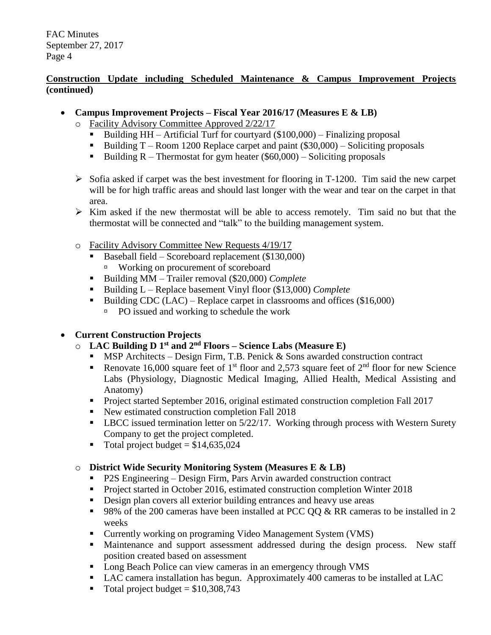## **Construction Update including Scheduled Maintenance & Campus Improvement Projects (continued)**

- **Campus Improvement Projects – Fiscal Year 2016/17 (Measures E & LB)**
	- o Facility Advisory Committee Approved 2/22/17
		- Building  $HH Artificial$  Turf for courtyard (\$100,000) Finalizing proposal
		- Building  $T -$ Room 1200 Replace carpet and paint (\$30,000) Soliciting proposals
		- Building  $R$  Thermostat for gym heater (\$60,000) Soliciting proposals
	- $\triangleright$  Sofia asked if carpet was the best investment for flooring in T-1200. Tim said the new carpet will be for high traffic areas and should last longer with the wear and tear on the carpet in that area.
	- $\triangleright$  Kim asked if the new thermostat will be able to access remotely. Tim said no but that the thermostat will be connected and "talk" to the building management system.
	- o Facility Advisory Committee New Requests 4/19/17
		- Baseball field Scoreboard replacement (\$130,000) Working on procurement of scoreboard
		- Building MM Trailer removal (\$20,000) *Complete*
		- Building L Replace basement Vinyl floor (\$13,000) *Complete*
		- Building CDC (LAC) Replace carpet in classrooms and offices  $(\$16,000)$ 
			- $\Box$  PO issued and working to schedule the work

# **Current Construction Projects**

- o **LAC Building D 1 st and 2 nd Floors – Science Labs (Measure E)**
	- **MSP** Architects Design Firm, T.B. Penick  $&$  Sons awarded construction contract
	- Renovate 16,000 square feet of 1<sup>st</sup> floor and 2,573 square feet of  $2<sup>nd</sup>$  floor for new Science Labs (Physiology, Diagnostic Medical Imaging, Allied Health, Medical Assisting and Anatomy)
	- **Project started September 2016, original estimated construction completion Fall 2017**
	- New estimated construction completion Fall 2018
	- **-** LBCC issued termination letter on 5/22/17. Working through process with Western Surety Company to get the project completed.
	- Total project budget =  $$14,635,024$

# o **District Wide Security Monitoring System (Measures E & LB)**

- P2S Engineering Design Firm, Pars Arvin awarded construction contract
- **Project started in October 2016, estimated construction completion Winter 2018**
- Design plan covers all exterior building entrances and heavy use areas
- 98% of the 200 cameras have been installed at PCC QQ  $\&$  RR cameras to be installed in 2 weeks
- Currently working on programing Video Management System (VMS)
- Maintenance and support assessment addressed during the design process. New staff position created based on assessment
- Long Beach Police can view cameras in an emergency through VMS
- LAC camera installation has begun. Approximately 400 cameras to be installed at LAC
- Total project budget  $= $10,308,743$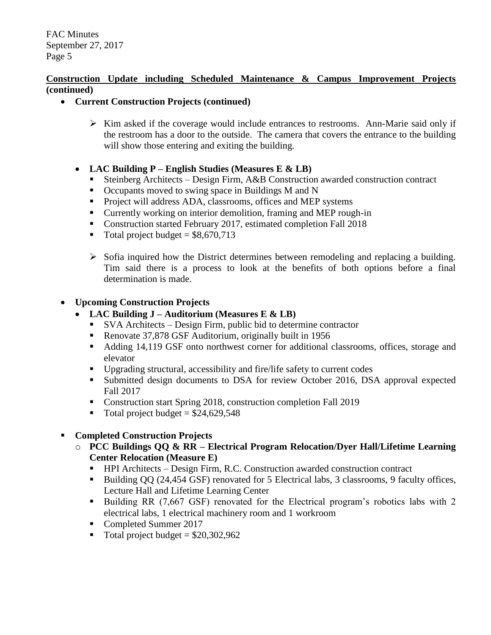#### **Construction Update including Scheduled Maintenance & Campus Improvement Projects (continued)**

- **Current Construction Projects (continued)**
	- $\triangleright$  Kim asked if the coverage would include entrances to restrooms. Ann-Marie said only if the restroom has a door to the outside. The camera that covers the entrance to the building will show those entering and exiting the building.
	- **LAC Building P – English Studies (Measures E & LB)**
		- Steinberg Architects Design Firm, A&B Construction awarded construction contract
		- Occupants moved to swing space in Buildings M and N
		- **Project will address ADA, classrooms, offices and MEP systems**
		- Currently working on interior demolition, framing and MEP rough-in
		- Construction started February 2017, estimated completion Fall 2018
		- $\blacksquare$  Total project budget = \$8,670,713
		- $\triangleright$  Sofia inquired how the District determines between remodeling and replacing a building. Tim said there is a process to look at the benefits of both options before a final determination is made.

# **Upcoming Construction Projects**

- **LAC Building J – Auditorium (Measures E & LB)**
	- SVA Architects Design Firm, public bid to determine contractor
	- Renovate 37,878 GSF Auditorium, originally built in 1956
	- Adding 14,119 GSF onto northwest corner for additional classrooms, offices, storage and elevator
	- Upgrading structural, accessibility and fire/life safety to current codes
	- Submitted design documents to DSA for review October 2016, DSA approval expected Fall 2017
	- Construction start Spring 2018, construction completion Fall 2019
	- Total project budget  $=$  \$24,629,548

#### **Completed Construction Projects**

- o **PCC Buildings QQ & RR – Electrical Program Relocation/Dyer Hall/Lifetime Learning Center Relocation (Measure E)**
	- HPI Architects Design Firm, R.C. Construction awarded construction contract
	- Building QQ (24,454 GSF) renovated for 5 Electrical labs, 3 classrooms, 9 faculty offices, Lecture Hall and Lifetime Learning Center
	- Building RR (7,667 GSF) renovated for the Electrical program's robotics labs with 2 electrical labs, 1 electrical machinery room and 1 workroom
	- Completed Summer 2017
	- $\blacksquare$  Total project budget = \$20,302,962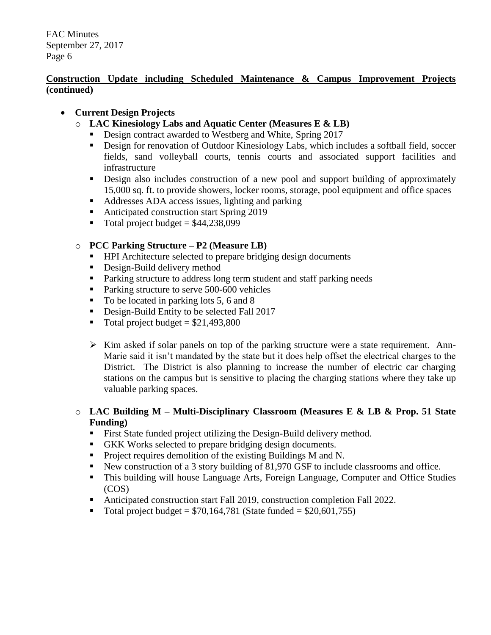## **Construction Update including Scheduled Maintenance & Campus Improvement Projects (continued)**

# **Current Design Projects**

- o **LAC Kinesiology Labs and Aquatic Center (Measures E & LB)**
	- Design contract awarded to Westberg and White, Spring 2017
	- Design for renovation of Outdoor Kinesiology Labs, which includes a softball field, soccer fields, sand volleyball courts, tennis courts and associated support facilities and infrastructure
	- **Design also includes construction of a new pool and support building of approximately** 15,000 sq. ft. to provide showers, locker rooms, storage, pool equipment and office spaces
	- Addresses ADA access issues, lighting and parking
	- Anticipated construction start Spring 2019
	- $\blacksquare$  Total project budget = \$44,238,099

# o **PCC Parking Structure – P2 (Measure LB)**

- **HPI** Architecture selected to prepare bridging design documents
- **Design-Build delivery method**
- Parking structure to address long term student and staff parking needs
- Parking structure to serve 500-600 vehicles
- $\blacksquare$  To be located in parking lots 5, 6 and 8
- Design-Build Entity to be selected Fall 2017
- $\blacksquare$  Total project budget = \$21,493,800
- $\triangleright$  Kim asked if solar panels on top of the parking structure were a state requirement. Ann-Marie said it isn't mandated by the state but it does help offset the electrical charges to the District. The District is also planning to increase the number of electric car charging stations on the campus but is sensitive to placing the charging stations where they take up valuable parking spaces.

#### o **LAC Building M – Multi-Disciplinary Classroom (Measures E & LB & Prop. 51 State Funding)**

- First State funded project utilizing the Design-Build delivery method.
- GKK Works selected to prepare bridging design documents.
- **Project requires demolition of the existing Buildings M and N.**
- New construction of a 3 story building of 81,970 GSF to include classrooms and office.
- This building will house Language Arts, Foreign Language, Computer and Office Studies (COS)
- Anticipated construction start Fall 2019, construction completion Fall 2022.
- $\blacksquare$  Total project budget = \$70,164,781 (State funded = \$20,601,755)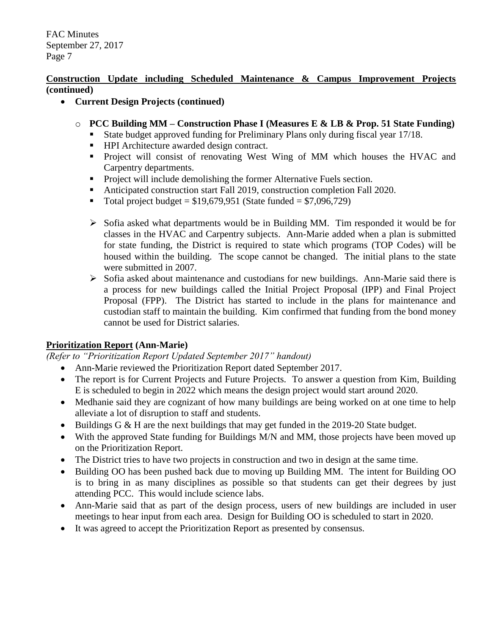#### **Construction Update including Scheduled Maintenance & Campus Improvement Projects (continued)**

- **Current Design Projects (continued)**
	- o **PCC Building MM – Construction Phase I (Measures E & LB & Prop. 51 State Funding)**
		- State budget approved funding for Preliminary Plans only during fiscal year 17/18.
		- **HPI** Architecture awarded design contract.
		- **Project will consist of renovating West Wing of MM which houses the HVAC and** Carpentry departments.
		- **Project will include demolishing the former Alternative Fuels section.**
		- Anticipated construction start Fall 2019, construction completion Fall 2020.
		- Total project budget =  $$19,679,951$  (State funded =  $$7,096,729$ )
		- $\triangleright$  Sofia asked what departments would be in Building MM. Tim responded it would be for classes in the HVAC and Carpentry subjects. Ann-Marie added when a plan is submitted for state funding, the District is required to state which programs (TOP Codes) will be housed within the building. The scope cannot be changed. The initial plans to the state were submitted in 2007.
		- $\triangleright$  Sofia asked about maintenance and custodians for new buildings. Ann-Marie said there is a process for new buildings called the Initial Project Proposal (IPP) and Final Project Proposal (FPP). The District has started to include in the plans for maintenance and custodian staff to maintain the building. Kim confirmed that funding from the bond money cannot be used for District salaries.

#### **Prioritization Report (Ann-Marie)**

*(Refer to "Prioritization Report Updated September 2017" handout)*

- Ann-Marie reviewed the Prioritization Report dated September 2017.
- The report is for Current Projects and Future Projects. To answer a question from Kim, Building E is scheduled to begin in 2022 which means the design project would start around 2020.
- Medhanie said they are cognizant of how many buildings are being worked on at one time to help alleviate a lot of disruption to staff and students.
- Buildings G & H are the next buildings that may get funded in the 2019-20 State budget.
- With the approved State funding for Buildings M/N and MM, those projects have been moved up on the Prioritization Report.
- The District tries to have two projects in construction and two in design at the same time.
- Building OO has been pushed back due to moving up Building MM. The intent for Building OO is to bring in as many disciplines as possible so that students can get their degrees by just attending PCC. This would include science labs.
- Ann-Marie said that as part of the design process, users of new buildings are included in user meetings to hear input from each area. Design for Building OO is scheduled to start in 2020.
- It was agreed to accept the Prioritization Report as presented by consensus.